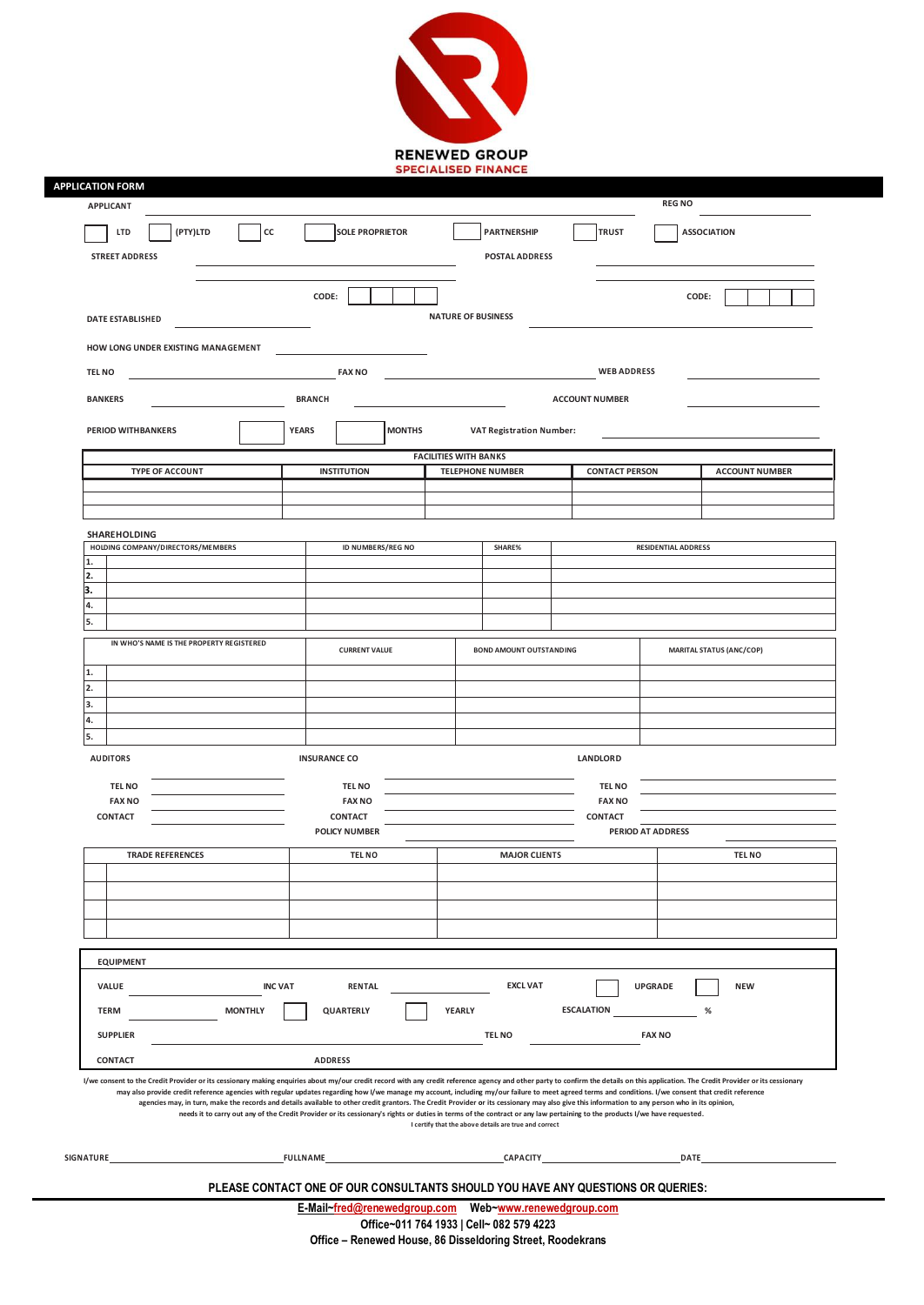

| <b>APPLICANT</b>                         |          |                 |                                                                  |                                                                                                                                                                                                                                                                                                                                                                                                                                                                                                                                                                                       |                              |                      |                                                         | <b>REG NO</b>     |                       |                                 |                                                                                                                                                                                                                                |  |
|------------------------------------------|----------|-----------------|------------------------------------------------------------------|---------------------------------------------------------------------------------------------------------------------------------------------------------------------------------------------------------------------------------------------------------------------------------------------------------------------------------------------------------------------------------------------------------------------------------------------------------------------------------------------------------------------------------------------------------------------------------------|------------------------------|----------------------|---------------------------------------------------------|-------------------|-----------------------|---------------------------------|--------------------------------------------------------------------------------------------------------------------------------------------------------------------------------------------------------------------------------|--|
| LTD                                      | (PTY)LTD | cc              |                                                                  | <b>SOLE PROPRIETOR</b>                                                                                                                                                                                                                                                                                                                                                                                                                                                                                                                                                                |                              |                      | <b>PARTNERSHIP</b>                                      |                   | <b>TRUST</b>          |                                 | <b>ASSOCIATION</b>                                                                                                                                                                                                             |  |
| <b>STREET ADDRESS</b>                    |          |                 |                                                                  |                                                                                                                                                                                                                                                                                                                                                                                                                                                                                                                                                                                       |                              |                      | <b>POSTAL ADDRESS</b>                                   |                   |                       |                                 |                                                                                                                                                                                                                                |  |
|                                          |          |                 |                                                                  | CODE:                                                                                                                                                                                                                                                                                                                                                                                                                                                                                                                                                                                 |                              |                      |                                                         |                   |                       | CODE:                           |                                                                                                                                                                                                                                |  |
| <b>DATE ESTABLISHED</b>                  |          |                 |                                                                  |                                                                                                                                                                                                                                                                                                                                                                                                                                                                                                                                                                                       |                              |                      | <b>NATURE OF BUSINESS</b>                               |                   |                       |                                 |                                                                                                                                                                                                                                |  |
| HOW LONG UNDER EXISTING MANAGEMENT       |          |                 |                                                                  |                                                                                                                                                                                                                                                                                                                                                                                                                                                                                                                                                                                       |                              |                      |                                                         |                   |                       |                                 |                                                                                                                                                                                                                                |  |
| <b>TEL NO</b>                            |          |                 |                                                                  | <b>FAX NO</b>                                                                                                                                                                                                                                                                                                                                                                                                                                                                                                                                                                         |                              |                      |                                                         |                   | <b>WEB ADDRESS</b>    |                                 |                                                                                                                                                                                                                                |  |
| <b>BANKERS</b>                           |          |                 |                                                                  | <b>BRANCH</b>                                                                                                                                                                                                                                                                                                                                                                                                                                                                                                                                                                         |                              |                      |                                                         |                   | <b>ACCOUNT NUMBER</b> |                                 |                                                                                                                                                                                                                                |  |
| <b>PERIOD WITHBANKERS</b>                |          |                 | <b>YEARS</b>                                                     |                                                                                                                                                                                                                                                                                                                                                                                                                                                                                                                                                                                       | <b>MONTHS</b>                |                      | <b>VAT Registration Number:</b>                         |                   |                       |                                 |                                                                                                                                                                                                                                |  |
| <b>TYPE OF ACCOUNT</b>                   |          |                 |                                                                  | <b>INSTITUTION</b>                                                                                                                                                                                                                                                                                                                                                                                                                                                                                                                                                                    | <b>FACILITIES WITH BANKS</b> |                      | <b>TELEPHONE NUMBER</b>                                 |                   | <b>CONTACT PERSON</b> |                                 | <b>ACCOUNT NUMBER</b>                                                                                                                                                                                                          |  |
|                                          |          |                 |                                                                  |                                                                                                                                                                                                                                                                                                                                                                                                                                                                                                                                                                                       |                              |                      |                                                         |                   |                       |                                 |                                                                                                                                                                                                                                |  |
|                                          |          |                 |                                                                  |                                                                                                                                                                                                                                                                                                                                                                                                                                                                                                                                                                                       |                              |                      |                                                         |                   |                       |                                 |                                                                                                                                                                                                                                |  |
| SHAREHOLDING                             |          |                 |                                                                  |                                                                                                                                                                                                                                                                                                                                                                                                                                                                                                                                                                                       |                              |                      |                                                         |                   |                       |                                 |                                                                                                                                                                                                                                |  |
| HOLDING COMPANY/DIRECTORS/MEMBERS        |          |                 |                                                                  | ID NUMBERS/REG NO                                                                                                                                                                                                                                                                                                                                                                                                                                                                                                                                                                     |                              |                      | SHARE%                                                  |                   |                       | <b>RESIDENTIAL ADDRESS</b>      |                                                                                                                                                                                                                                |  |
| 2.                                       |          |                 |                                                                  |                                                                                                                                                                                                                                                                                                                                                                                                                                                                                                                                                                                       |                              |                      |                                                         |                   |                       |                                 |                                                                                                                                                                                                                                |  |
| R                                        |          |                 |                                                                  |                                                                                                                                                                                                                                                                                                                                                                                                                                                                                                                                                                                       |                              |                      |                                                         |                   |                       |                                 |                                                                                                                                                                                                                                |  |
| 4.                                       |          |                 |                                                                  |                                                                                                                                                                                                                                                                                                                                                                                                                                                                                                                                                                                       |                              |                      |                                                         |                   |                       |                                 |                                                                                                                                                                                                                                |  |
| 5.                                       |          |                 |                                                                  |                                                                                                                                                                                                                                                                                                                                                                                                                                                                                                                                                                                       |                              |                      |                                                         |                   |                       |                                 |                                                                                                                                                                                                                                |  |
| IN WHO'S NAME IS THE PROPERTY REGISTERED |          |                 |                                                                  | <b>CURRENT VALUE</b>                                                                                                                                                                                                                                                                                                                                                                                                                                                                                                                                                                  |                              |                      | <b>BOND AMOUNT OUTSTANDING</b>                          |                   |                       | <b>MARITAL STATUS (ANC/COP)</b> |                                                                                                                                                                                                                                |  |
| 1.<br>2.                                 |          |                 |                                                                  |                                                                                                                                                                                                                                                                                                                                                                                                                                                                                                                                                                                       |                              |                      |                                                         |                   |                       |                                 |                                                                                                                                                                                                                                |  |
| 3.                                       |          |                 |                                                                  |                                                                                                                                                                                                                                                                                                                                                                                                                                                                                                                                                                                       |                              |                      |                                                         |                   |                       |                                 |                                                                                                                                                                                                                                |  |
| 4.                                       |          |                 |                                                                  |                                                                                                                                                                                                                                                                                                                                                                                                                                                                                                                                                                                       |                              |                      |                                                         |                   |                       |                                 |                                                                                                                                                                                                                                |  |
| 5.<br><b>AUDITORS</b>                    |          |                 |                                                                  | <b>INSURANCE CO</b>                                                                                                                                                                                                                                                                                                                                                                                                                                                                                                                                                                   |                              |                      |                                                         |                   | <b>LANDLORD</b>       |                                 |                                                                                                                                                                                                                                |  |
| <b>TEL NO</b>                            |          |                 |                                                                  | <b>TEL NO</b>                                                                                                                                                                                                                                                                                                                                                                                                                                                                                                                                                                         |                              |                      |                                                         |                   | <b>TEL NO</b>         |                                 |                                                                                                                                                                                                                                |  |
| <b>FAX NO</b>                            |          |                 |                                                                  | <b>FAX NO</b>                                                                                                                                                                                                                                                                                                                                                                                                                                                                                                                                                                         |                              |                      |                                                         |                   | <b>FAX NO</b>         |                                 |                                                                                                                                                                                                                                |  |
| <b>CONTACT</b>                           |          |                 | <b>CONTACT</b>                                                   |                                                                                                                                                                                                                                                                                                                                                                                                                                                                                                                                                                                       |                              | <b>CONTACT</b>       |                                                         |                   |                       |                                 |                                                                                                                                                                                                                                |  |
|                                          |          |                 | <b>POLICY NUMBER</b>                                             |                                                                                                                                                                                                                                                                                                                                                                                                                                                                                                                                                                                       |                              |                      |                                                         |                   |                       | PERIOD AT ADDRESS               |                                                                                                                                                                                                                                |  |
| <b>TRADE REFERENCES</b>                  |          |                 | <b>TEL NO</b>                                                    |                                                                                                                                                                                                                                                                                                                                                                                                                                                                                                                                                                                       |                              | <b>MAJOR CLIENTS</b> |                                                         |                   | <b>TEL NO</b>         |                                 |                                                                                                                                                                                                                                |  |
|                                          |          |                 |                                                                  |                                                                                                                                                                                                                                                                                                                                                                                                                                                                                                                                                                                       |                              |                      |                                                         |                   |                       |                                 |                                                                                                                                                                                                                                |  |
|                                          |          |                 |                                                                  |                                                                                                                                                                                                                                                                                                                                                                                                                                                                                                                                                                                       |                              |                      |                                                         |                   |                       |                                 |                                                                                                                                                                                                                                |  |
|                                          |          |                 |                                                                  |                                                                                                                                                                                                                                                                                                                                                                                                                                                                                                                                                                                       |                              |                      |                                                         |                   |                       |                                 |                                                                                                                                                                                                                                |  |
|                                          |          |                 |                                                                  |                                                                                                                                                                                                                                                                                                                                                                                                                                                                                                                                                                                       |                              |                      |                                                         |                   |                       |                                 |                                                                                                                                                                                                                                |  |
| <b>EQUIPMENT</b>                         |          |                 |                                                                  |                                                                                                                                                                                                                                                                                                                                                                                                                                                                                                                                                                                       |                              |                      |                                                         |                   |                       |                                 |                                                                                                                                                                                                                                |  |
| <b>VALUE</b><br><b>INC VAT</b>           |          |                 | <b>EXCL VAT</b><br><b>NEW</b><br><b>RENTAL</b><br><b>UPGRADE</b> |                                                                                                                                                                                                                                                                                                                                                                                                                                                                                                                                                                                       |                              |                      |                                                         |                   |                       |                                 |                                                                                                                                                                                                                                |  |
| <b>TERM</b>                              |          | <b>MONTHLY</b>  |                                                                  | QUARTERLY                                                                                                                                                                                                                                                                                                                                                                                                                                                                                                                                                                             |                              | YEARLY               |                                                         | <b>ESCALATION</b> |                       |                                 | %                                                                                                                                                                                                                              |  |
| <b>SUPPLIER</b>                          |          |                 |                                                                  |                                                                                                                                                                                                                                                                                                                                                                                                                                                                                                                                                                                       |                              |                      | <b>TEL NO</b>                                           |                   |                       | <b>FAX NO</b>                   |                                                                                                                                                                                                                                |  |
| CONTACT                                  |          |                 |                                                                  | <b>ADDRESS</b>                                                                                                                                                                                                                                                                                                                                                                                                                                                                                                                                                                        |                              |                      |                                                         |                   |                       |                                 |                                                                                                                                                                                                                                |  |
|                                          |          |                 |                                                                  | may also provide credit reference agencies with regular updates regarding how I/we manage my account, including my/our failure to meet agreed terms and conditions. I/we consent that credit reference<br>agencies may, in turn, make the records and details available to other credit grantors. The Credit Provider or its cessionary may also give this information to any person who in its opinion,<br>needs it to carry out any of the Credit Provider or its cessionary's rights or duties in terms of the contract or any law pertaining to the products I/we have requested. |                              |                      | I certify that the above details are true and correct   |                   |                       |                                 | I/we consent to the Credit Provider or its cessionary making enquiries about my/our credit record with any credit reference agency and other party to confirm the details on this application. The Credit Provider or its cess |  |
| SIGNATURE                                |          | <b>FULLNAME</b> |                                                                  |                                                                                                                                                                                                                                                                                                                                                                                                                                                                                                                                                                                       |                              |                      | <b>EXAMPLE 2012 CAPACITY CAPACITY CAPACITY CAPACITY</b> |                   |                       |                                 |                                                                                                                                                                                                                                |  |
|                                          |          |                 |                                                                  |                                                                                                                                                                                                                                                                                                                                                                                                                                                                                                                                                                                       |                              |                      |                                                         |                   |                       |                                 |                                                                                                                                                                                                                                |  |
|                                          |          |                 |                                                                  | PLEASE CONTACT ONE OF OUR CONSULTANTS SHOULD YOU HAVE ANY QUESTIONS OR QUERIES:                                                                                                                                                                                                                                                                                                                                                                                                                                                                                                       |                              |                      |                                                         |                   |                       |                                 |                                                                                                                                                                                                                                |  |

**Office – Renewed House, 86 Disseldoring Street, Roodekrans**